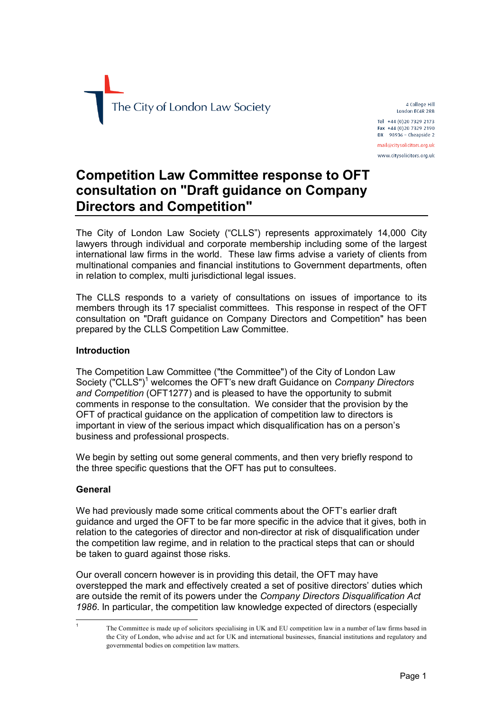

4 College Hill London EC4R 2RB Tel +44 (0)20 7329 2173 Fax +44 (0)20 7329 2190  $DX$  98936 - Cheapside 2 mail@citysolicitors.org.uk www.citysolicitors.org.uk

# **Competition Law Committee response to OFT consultation on "Draft guidance on Company airectors and Competition?**

The City of London Law Society ("CLLS") represents approximately 14,000 City lawyers through individual and corporate membership including some of the largest international law firms in the world. These law firms advise a variety of clients from multinational companies and financial institutions to Government departments, often in relation to complex, multi jurisdictional legal issues.

The CLLS responds to a variety of consultations on issues of importance to its members through its 17 specialist committees. This response in respect of the OFT consultation on "Draft guidance on Company Directors and Competition" has been prepared by the CLLS Competition Law Committee.

### **fntroduction**

The Competition Law Committee ("the Committee") of the City of London Law Society ("CLLS")<sup>1</sup> [w](#page-0-0)elcomes the OFT's new draft Guidance on *Company Directors and Competition* (OFT1277) and is pleased to have the opportunity to submit comments in response to the consultation. We consider that the provision by the OFT of practical guidance on the application of competition law to directors is important in view of the serious impact which disqualification has on a person's business and professional prospects.

We begin by setting out some general comments, and then very briefly respond to the three specific questions that the OFT has put to consultees.

#### **deneral**

1 N

We had previously made some critical comments about the OFT's earlier draft guidance and urged the OFT to be far more specific in the advice that it gives, both in relation to the categories of director and non-director at risk of disqualification under the competition law regime, and in relation to the practical steps that can or should be taken to guard against those risks.

Our overall concern however is in providing this detail, the OFT may have overstepped the mark and effectively created a set of positive directors' duties which are outside the remit of its powers under the *Company Directors Disqualification Act* 1986. In particular, the competition law knowledge expected of directors (especially

<span id="page-0-0"></span>The Committee is made up of solicitors specialising in UK and EU competition law in a number of law firms based in the City of London, who advise and act for UK and international businesses, financial institutions and regulatory and governmental bodies on competition law matters.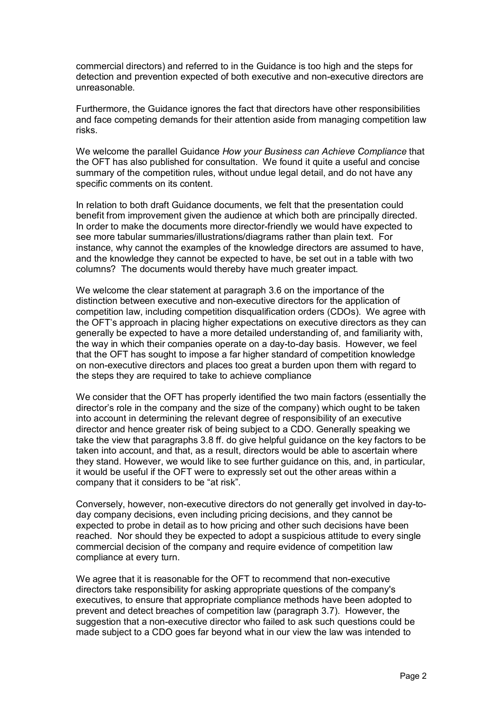commercial directors) and referred to in the Guidance is too high and the steps for detection and prevention expected of both executive and non-executive directors are unreasonable.

Furthermore, the Guidance ignores the fact that directors have other responsibilities and face competing demands for their attention aside from managing competition law risks.

We welcome the parallel Guidance *How your Business can Achieve Compliance* that the OFT has also published for consultation. We found it quite a useful and concise summary of the competition rules, without undue legal detail, and do not have any specific comments on its content.

In relation to both draft Guidance documents, we felt that the presentation could benefit from improvement given the audience at which both are principally directed. In order to make the documents more director-friendly we would have expected to see more tabular summaries/illustrations/diagrams rather than plain text. For instance, why cannot the examples of the knowledge directors are assumed to have. and the knowledge they cannot be expected to have, be set out in a table with two columns? The documents would thereby have much greater impact.

We welcome the clear statement at paragraph 3.6 on the importance of the distinction between executive and non-executive directors for the application of competition law, including competition disqualification orders (CDOs). We agree with the OFT's approach in placing higher expectations on executive directors as they can generally be expected to have a more detailed understanding of, and familiarity with, the way in which their companies operate on a day-to-day basis. However, we feel that the OFT has sought to impose a far higher standard of competition knowledge on non-executive directors and places too great a burden upon them with regard to the steps they are required to take to achieve compliance

We consider that the OFT has properly identified the two main factors (essentially the director's role in the company and the size of the company) which ought to be taken into account in determining the relevant degree of responsibility of an executive director and hence greater risk of being subject to a CDO. Generally speaking we take the view that paragraphs 3.8 ff. do give helpful guidance on the key factors to be taken into account, and that, as a result, directors would be able to ascertain where they stand. However, we would like to see further guidance on this, and, in particular, it would be useful if the OFT were to expressly set out the other areas within a company that it considers to be "at risk".

Conversely, however, non-executive directors do not generally get involved in day-today company decisions, even including pricing decisions, and they cannot be expected to probe in detail as to how pricing and other such decisions have been reached. Nor should they be expected to adopt a suspicious attitude to every single commercial decision of the company and require evidence of competition law compliance at every turn.

We agree that it is reasonable for the OFT to recommend that non-executive directors take responsibility for asking appropriate questions of the company's executives, to ensure that appropriate compliance methods have been adopted to prevent and detect breaches of competition law (paragraph 3.7). However, the suggestion that a non-executive director who failed to ask such questions could be made subject to a CDO goes far beyond what in our view the law was intended to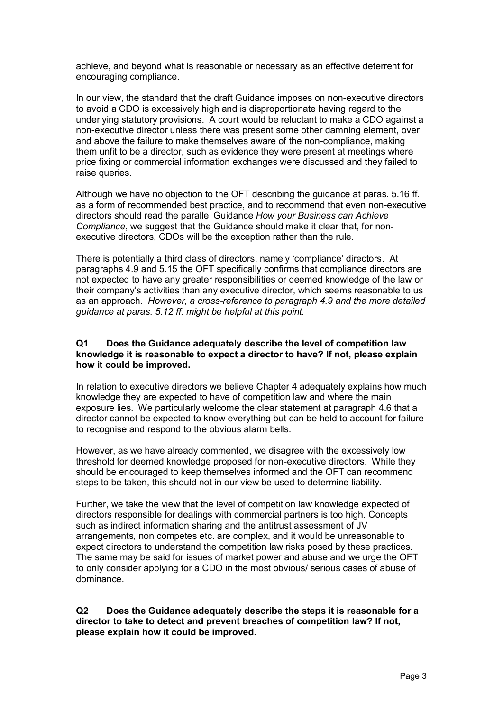achieve, and beyond what is reasonable or necessary as an effective deterrent for encouraging compliance.

In our view, the standard that the draft Guidance imposes on non-executive directors to avoid a CDO is excessively high and is disproportionate having regard to the underlying statutory provisions. A court would be reluctant to make a CDO against a non-executive director unless there was present some other damning element, over and above the failure to make themselves aware of the non-compliance, making them unfit to be a director, such as evidence they were present at meetings where price fixing or commercial information exchanges were discussed and they failed to raise queries.

Although we have no objection to the OFT describing the guidance at paras, 5.16 ff. as a form of recommended best practice, and to recommend that even non-executive directors should read the parallel Guidance How your Business can Achieve *Compliance*, we suggest that the Guidance should make it clear that, for nonexecutive directors, CDOs will be the exception rather than the rule.

There is potentially a third class of directors, namely 'compliance' directors. At paragraphs 4.9 and 5.15 the OFT specifically confirms that compliance directors are not expected to have any greater responsibilities or deemed knowledge of the law or their company's activities than any executive director, which seems reasonable to us as an approach. However, a cross-reference to paragraph 4.9 and the more detailed *guidance at paras. 5.N2 ff. might be helpful at this point.* 

### **Q1** Does the Guidance adequately describe the level of competition law knowledge it is reasonable to expect a director to have? If not, please explain **how it could be improved.**

fn relation to executive directors we believe Chapter 4 adequately explains how much knowledge they are expected to have of competition law and where the main exposure lies. We particularly welcome the clear statement at paragraph 4.6 that a director cannot be expected to know everything but can be held to account for failure to recognise and respond to the obvious alarm bells.

However, as we have already commented, we disagree with the excessively low threshold for deemed knowledge proposed for non-executive directors. While they should be encouraged to keep themselves informed and the OFT can recommend steps to be taken, this should not in our view be used to determine liability.

Further, we take the view that the level of competition law knowledge expected of directors responsible for dealings with commercial partners is too high. Concepts such as indirect information sharing and the antitrust assessment of JV arrangements, non competes etc. are complex, and it would be unreasonable to expect directors to understand the competition law risks posed by these practices. The same may be said for issues of market power and abuse and we urge the OFT to only consider applying for a CDO in the most obvious/ serious cases of abuse of dominance

**Q2** Does the Guidance adequately describe the steps it is reasonable for a director to take to detect and prevent breaches of competition law? If not, **please explain how it could be improved.**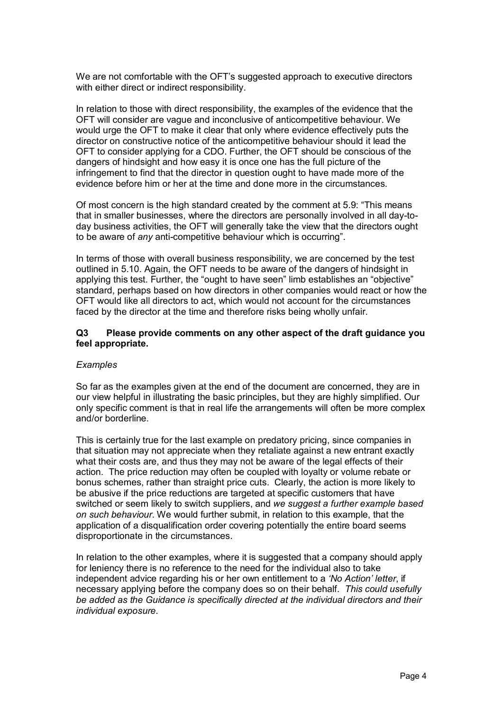We are not comfortable with the OFT's suggested approach to executive directors with either direct or indirect responsibility.

In relation to those with direct responsibility, the examples of the evidence that the OFT will consider are vague and inconclusive of anticompetitive behaviour. We would urge the OFT to make it clear that only where evidence effectively puts the director on constructive notice of the anticompetitive behaviour should it lead the OFT to consider applying for a CDO. Further, the OFT should be conscious of the dangers of hindsight and how easy it is once one has the full picture of the infringement to find that the director in question ought to have made more of the evidence before him or her at the time and done more in the circumstances

Of most concern is the high standard created by the comment at 5.9: "This means" that in smaller businesses, where the directors are personally involved in all day-today business activities, the OFT will generally take the view that the directors ought to be aware of *any* anti-competitive behaviour which is occurring".

In terms of those with overall business responsibility, we are concerned by the test outlined in 5.10. Again, the OFT needs to be aware of the dangers of hindsight in applying this test. Further, the "ought to have seen" limb establishes an "objective" standard, perhaps based on how directors in other companies would react or how the OFT would like all directors to act, which would not account for the circumstances faced by the director at the time and therefore risks being wholly unfair.

### **nP mlease provide comments on any other aspect of the draft guidance you feel appropriate.**

## $Examples$

So far as the examples given at the end of the document are concerned, they are in our view helpful in illustrating the basic principles, but they are highly simplified. Our only specific comment is that in real life the arrangements will often be more complex and/or borderline.

This is certainly true for the last example on predatory pricing, since companies in that situation may not appreciate when they retaliate against a new entrant exactly what their costs are, and thus they may not be aware of the legal effects of their action. The price reduction may often be coupled with loyalty or volume rebate or bonus schemes, rather than straight price cuts. Clearly, the action is more likely to be abusive if the price reductions are targeted at specific customers that have switched or seem likely to switch suppliers, and *we suggest a further example based on such behaviour*. We would further submit, in relation to this example, that the application of a disqualification order covering potentially the entire board seems disproportionate in the circumstances.

In relation to the other examples, where it is suggested that a company should apply for leniency there is no reference to the need for the individual also to take independent advice regarding his or her own entitlement to a 'No Action' letter, if necessary applying before the company does so on their behalf. This could usefully *be added as the duidance is specifically directed at the individual directors and their individual exposure.*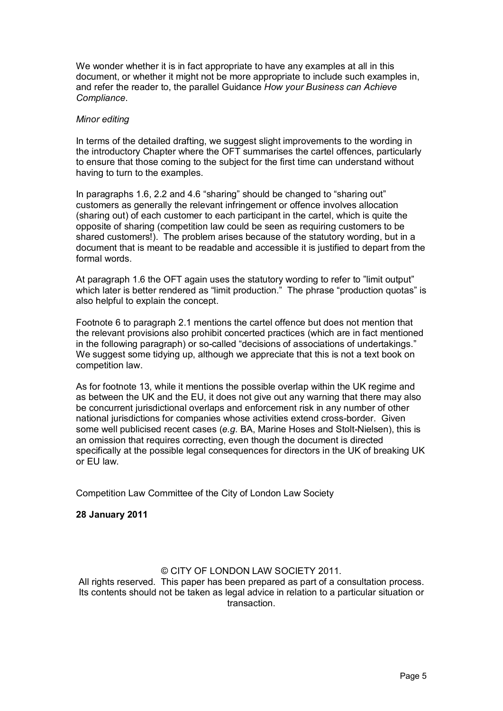We wonder whether it is in fact appropriate to have any examples at all in this document, or whether it might not be more appropriate to include such examples in. and refer the reader to, the parallel Guidance *How your Business can Achieve* Compliance.

#### *Minor editing*

In terms of the detailed drafting, we suggest slight improvements to the wording in the introductory Chapter where the OFT summarises the cartel offences, particularly to ensure that those coming to the subject for the first time can understand without having to turn to the examples.

In paragraphs 1.6, 2.2 and 4.6 "sharing" should be changed to "sharing out" customers as generally the relevant infringement or offence involves allocation (sharing out) of each customer to each participant in the cartel, which is quite the opposite of sharing (competition law could be seen as requiring customers to be shared customers!). The problem arises because of the statutory wording. but in a document that is meant to be readable and accessible it is justified to depart from the formal words.

At paragraph 1.6 the OFT again uses the statutory wording to refer to "limit output" which later is better rendered as "limit production." The phrase "production quotas" is also helpful to explain the concept.

Footnote 6 to paragraph 2.1 mentions the cartel offence but does not mention that the relevant provisions also prohibit concerted practices (which are in fact mentioned in the following paragraph) or so-called "decisions of associations of undertakings." We suggest some tidying up, although we appreciate that this is not a text book on competition law.

As for footnote 13, while it mentions the possible overlap within the UK regime and as between the UK and the EU, it does not give out any warning that there may also be concurrent jurisdictional overlaps and enforcement risk in any number of other national jurisdictions for companies whose activities extend cross-border. Given some well publicised recent cases (e.g. BA, Marine Hoses and Stolt-Nielsen), this is an omission that requires correcting, even though the document is directed specifically at the possible legal consequences for directors in the UK of breaking UK or EU law.

Competition Law Committee of the City of London Law Society

#### **28 January 2011**

### © CITY OF LONDON LAW SOCIETY 2011.

All rights reserved. This paper has been prepared as part of a consultation process. fts contents should not be taken as legal advice in relation to a particular situation or transaction